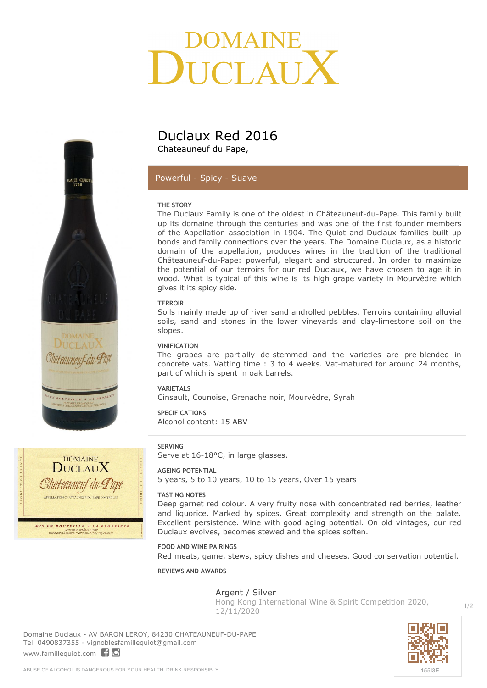# DOMAINE<br>LICLAU







### **Duclaux Red 2016**

Chateauneuf du Pape,

#### *Powerful - Spicy - Suave*

#### **THE STORY**

The Duclaux Family is one of the oldest in Châteauneuf-du-Pape. This family built up its domaine through the centuries and was one of the first founder members of the Appellation association in 1904. The Quiot and Duclaux families built up bonds and family connections over the years. The Domaine Duclaux, as a historic domain of the appellation, produces wines in the tradition of the traditional Châteauneuf-du-Pape: powerful, elegant and structured. In order to maximize the potential of our terroirs for our red Duclaux, we have chosen to age it in wood. What is typical of this wine is its high grape variety in Mourvèdre which gives it its spicy side.

#### **TERROIR**

Soils mainly made up of river sand androlled pebbles. Terroirs containing alluvial soils, sand and stones in the lower vineyards and clay-limestone soil on the slopes.

#### **VINIFICATION**

The grapes are partially de-stemmed and the varieties are pre-blended in concrete vats. Vatting time : 3 to 4 weeks. Vat-matured for around 24 months, part of which is spent in oak barrels.

#### **VARIETALS**

Cinsault, Counoise, Grenache noir, Mourvèdre, Syrah

#### **SPECIFICATIONS**

Alcohol content: 15 ABV

#### **SERVING**

Serve at 16-18°C, in large glasses.

#### **AGEING POTENTIAL**

5 years, 5 to 10 years, 10 to 15 years, Over 15 years

#### **TASTING NOTES**

Deep garnet red colour. A very fruity nose with concentrated red berries, leather and liquorice. Marked by spices. Great complexity and strength on the palate. Excellent persistence. Wine with good aging potential. On old vintages, our red Duclaux evolves, becomes stewed and the spices soften.

#### **FOOD AND WINE PAIRINGS**

Red meats, game, stews, spicy dishes and cheeses. Good conservation potential.

#### **REVIEWS AND AWARDS**

Argent / Silver

**Hong Kong International Wine & Spirit Competition 2020, 12/11/2020**

**Domaine Duclaux** - AV BARON LEROY, 84230 CHATEAUNEUF-DU-PAPE Tel. 0490837355 - vignoblesfamillequiot@gmail.com <www.famillequiot.com>



 $1/2$